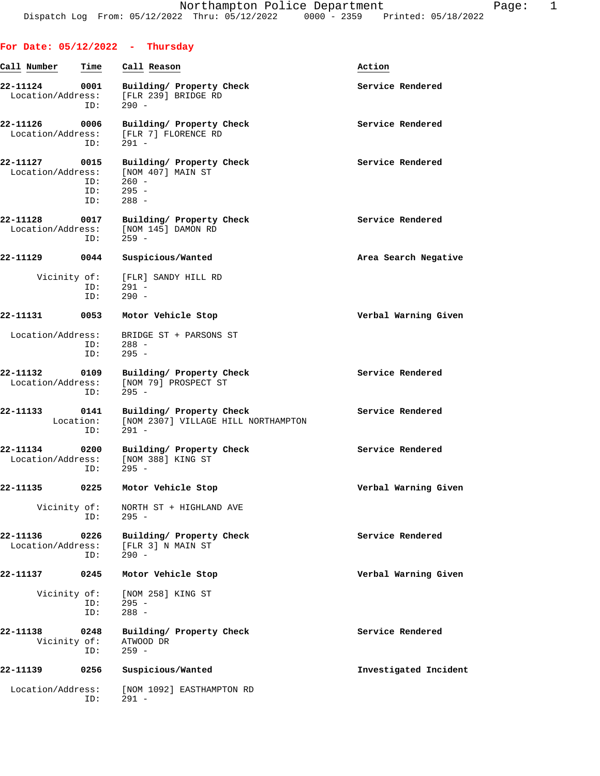| For Date: $05/12/2022 - Thursday$ |                          |                                                                                                                                |                       |
|-----------------------------------|--------------------------|--------------------------------------------------------------------------------------------------------------------------------|-----------------------|
| Call Number                       | <u>Time</u>              | Call Reason                                                                                                                    | Action                |
| 22-11124 0001                     |                          | Building/ Property Check<br>Location/Address: [FLR 239] BRIDGE RD<br>ID: 290 -                                                 | Service Rendered      |
| 22-11126 0006                     | ID:                      | Building/ Property Check<br>Location/Address: [FLR 7] FLORENCE RD<br>291 -                                                     | Service Rendered      |
| 22-11127                          | 0015<br>ID: 295 -<br>ID: | Building/ Property Check<br>$\begin{tabular}{ll} Location/Address: & [NOM 407] MAN ST \\ & ID: & 260 - \end{tabular}$<br>288 - | Service Rendered      |
| 22-11128                          | ID:                      | 0017 Building/ Property Check<br>Location/Address: [NOM 145] DAMON RD<br>$259 -$                                               | Service Rendered      |
|                                   |                          | 22-11129 0044 Suspicious/Wanted                                                                                                | Area Search Negative  |
|                                   | ID:<br>ID:               | Vicinity of: [FLR] SANDY HILL RD<br>$291 -$<br>$290 -$                                                                         |                       |
|                                   |                          | 22-11131 0053 Motor Vehicle Stop                                                                                               | Verbal Warning Given  |
|                                   | ID:<br>ID:               | Location/Address: BRIDGE ST + PARSONS ST<br>$288 -$<br>$295 -$                                                                 |                       |
| 22-11132                          | ID:                      | 0109 Building/ Property Check<br>Location/Address: [NOM 79] PROSPECT ST<br>$295 -$                                             | Service Rendered      |
| 22-11133 0141                     | ID:                      | Building/ Property Check<br>Location: [NOM 2307] VILLAGE HILL NORTHAMPTON<br>$291 -$                                           | Service Rendered      |
|                                   | ID:                      | 22-11134 0200 Building/ Property Check<br>Location/Address: [NOM 388] KING ST<br>$295 -$                                       | Service Rendered      |
| 22-11135                          | 0225                     | Motor Vehicle Stop                                                                                                             | Verbal Warning Given  |
| Vicinity of:                      | ID:                      | NORTH ST + HIGHLAND AVE<br>$295 -$                                                                                             |                       |
| 22-11136<br>Location/Address:     | 0226<br>ID:              | Building/ Property Check<br>[FLR 3] N MAIN ST<br>$290 -$                                                                       | Service Rendered      |
| 22-11137                          | 0245                     | Motor Vehicle Stop                                                                                                             | Verbal Warning Given  |
| Vicinity of:                      | ID:<br>ID:               | [NOM 258] KING ST<br>$295 -$<br>$288 -$                                                                                        |                       |
| 22-11138<br>Vicinity of:          | 0248<br>ID:              | Building/ Property Check<br>ATWOOD DR<br>$259 -$                                                                               | Service Rendered      |
| 22-11139                          | 0256                     | Suspicious/Wanted                                                                                                              | Investigated Incident |
| Location/Address:                 | ID:                      | [NOM 1092] EASTHAMPTON RD<br>$291 -$                                                                                           |                       |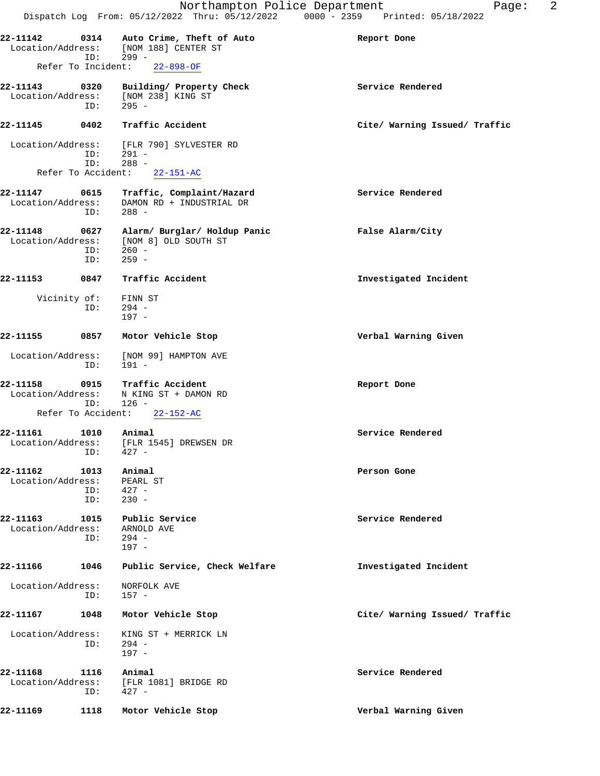|                               |                           | Northampton Police Department<br>Dispatch Log From: 05/12/2022 Thru: 05/12/2022 0000 - 2359 Printed: 05/18/2022 | 2<br>Page:                    |
|-------------------------------|---------------------------|-----------------------------------------------------------------------------------------------------------------|-------------------------------|
| 22-11142                      | 0314                      | Auto Crime, Theft of Auto<br>Location/Address: [NOM 188] CENTER ST                                              | Report Done                   |
|                               | ID:<br>Refer To Incident: | 299 -<br>$22 - 898 - OF$                                                                                        |                               |
|                               |                           |                                                                                                                 |                               |
| 22-11143                      | 0320<br>ID:               | Building/ Property Check<br>Location/Address: [NOM 238] KING ST<br>$295 -$                                      | Service Rendered              |
| 22-11145                      | 0402                      | Traffic Accident                                                                                                | Cite/ Warning Issued/ Traffic |
|                               | ID:<br>ID:                | Location/Address: [FLR 790] SYLVESTER RD<br>291 -<br>$288 -$                                                    |                               |
|                               |                           | Refer To Accident: 22-151-AC                                                                                    |                               |
| 22-11147                      | ID:                       | 0615 Traffic, Complaint/Hazard<br>Location/Address: DAMON RD + INDUSTRIAL DR<br>$288 -$                         | Service Rendered              |
| 22-11148<br>Location/Address: | 0627<br>ID:<br>ID:        | Alarm/ Burglar/ Holdup Panic<br>[NOM 8] OLD SOUTH ST<br>$260 -$<br>$259 -$                                      | False Alarm/City              |
| 22-11153                      | 0847                      | Traffic Accident                                                                                                | Investigated Incident         |
|                               | ID:                       | Vicinity of: FINN ST<br>$294 -$<br>$197 -$                                                                      |                               |
| 22-11155                      | 0857                      | Motor Vehicle Stop                                                                                              | Verbal Warning Given          |
| Location/Address:             | ID:                       | [NOM 99] HAMPTON AVE<br>191 -                                                                                   |                               |
| 22-11158<br>Location/Address: | 0915<br>ID:               | Traffic Accident<br>N KING ST + DAMON RD<br>$126 -$                                                             | Report Done                   |
|                               | Refer To Accident:        | $22 - 152 - AC$                                                                                                 |                               |
| 22-11161<br>Location/Address: | 1010<br>ID:               | Animal<br>[FLR 1545] DREWSEN DR<br>$427 -$                                                                      | Service Rendered              |
| 22-11162<br>Location/Address: | 1013<br>ID:<br>ID:        | Animal<br>PEARL ST<br>427 -<br>$230 -$                                                                          | Person Gone                   |
| 22-11163<br>Location/Address: | 1015<br>ID:               | Public Service<br>ARNOLD AVE<br>294 -<br>$197 -$                                                                | Service Rendered              |
| 22-11166                      | 1046                      | Public Service, Check Welfare                                                                                   | Investigated Incident         |
| Location/Address:             | ID:                       | NORFOLK AVE<br>157 -                                                                                            |                               |
| 22-11167                      | 1048                      | Motor Vehicle Stop                                                                                              | Cite/ Warning Issued/ Traffic |
| Location/Address:             | ID:                       | KING ST + MERRICK LN<br>294 -<br>$197 -$                                                                        |                               |
| 22-11168<br>Location/Address: | 1116<br>ID:               | Animal<br>[FLR 1081] BRIDGE RD<br>427 -                                                                         | Service Rendered              |
| 22-11169                      | 1118                      | Motor Vehicle Stop                                                                                              | Verbal Warning Given          |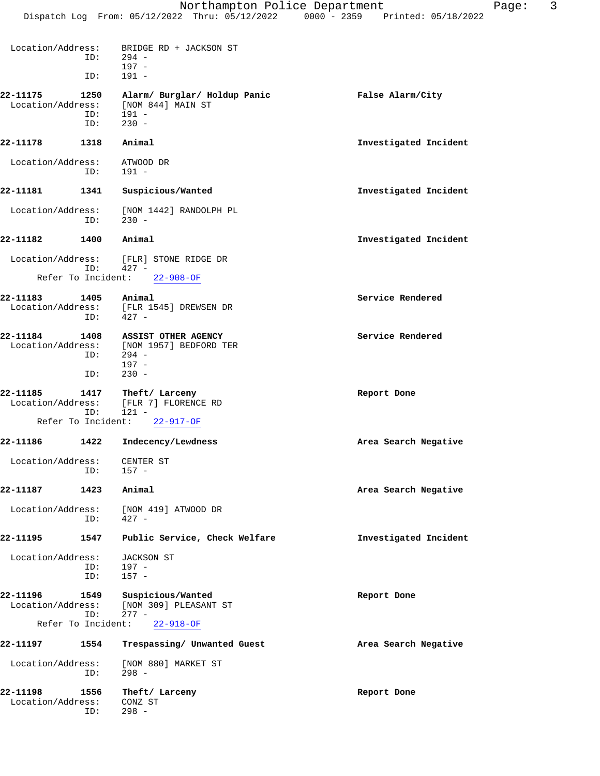| Location/Address:             | ID:         | BRIDGE RD + JACKSON ST<br>$294 -$<br>$197 -$          |                       |
|-------------------------------|-------------|-------------------------------------------------------|-----------------------|
|                               | ID:         | $191 -$                                               |                       |
| 22-11175<br>Location/Address: | 1250        | Alarm/ Burglar/ Holdup Panic<br>[NOM 844] MAIN ST     | False Alarm/City      |
|                               | ID:<br>ID:  | $191 -$<br>$230 -$                                    |                       |
| 22-11178                      | 1318        | Animal                                                | Investigated Incident |
| Location/Address:             | ID:         | ATWOOD DR<br>$191 -$                                  |                       |
| 22-11181                      | 1341        | Suspicious/Wanted                                     | Investigated Incident |
| Location/Address:             | ID:         | [NOM 1442] RANDOLPH PL<br>$230 -$                     |                       |
| 22-11182                      | 1400        | Animal                                                | Investigated Incident |
|                               | ID:         | Location/Address: [FLR] STONE RIDGE DR<br>$427 -$     |                       |
| Refer To Incident:            |             | $22 - 908 - OF$                                       |                       |
| 22-11183                      | 1405        | Animal                                                | Service Rendered      |
|                               | ID:         | Location/Address: [FLR 1545] DREWSEN DR<br>$427 -$    |                       |
| 22-11184                      | 1408        | ASSIST OTHER AGENCY                                   | Service Rendered      |
| Location/Address:             | ID:         | [NOM 1957] BEDFORD TER<br>$294 -$<br>$197 -$          |                       |
|                               | ID:         | $230 -$                                               |                       |
| 22-11185<br>Location/Address: | 1417<br>ID: | Theft/ Larceny<br>[FLR 7] FLORENCE RD<br>$121 -$      | Report Done           |
| Refer To Incident:            |             | $22 - 917 - OF$                                       |                       |
| 22-11186                      | 1422        | Indecency/Lewdness                                    | Area Search Negative  |
| Location/Address:             | ID:         | CENTER ST<br>$157 -$                                  |                       |
| 22-11187                      | 1423        | Animal                                                | Area Search Negative  |
| Location/Address:             | ID:         | [NOM 419] ATWOOD DR<br>$427 -$                        |                       |
| 22-11195                      | 1547        | Public Service, Check Welfare                         | Investigated Incident |
| Location/Address:             |             | <b>JACKSON ST</b>                                     |                       |
|                               | ID:<br>ID:  | $197 -$<br>$157 -$                                    |                       |
| 22-11196<br>Location/Address: | 1549<br>ID: | Suspicious/Wanted<br>[NOM 309] PLEASANT ST<br>$277 -$ | Report Done           |
| Refer To Incident:            |             | $22 - 918 - OF$                                       |                       |
| 22-11197                      | 1554        | Trespassing/ Unwanted Guest                           | Area Search Negative  |
| Location/Address:             | ID:         | [NOM 880] MARKET ST<br>$298 -$                        |                       |
| 22-11198<br>Location/Address: | 1556<br>ID: | Theft/ Larceny<br>CONZ ST<br>$298 -$                  | Report Done           |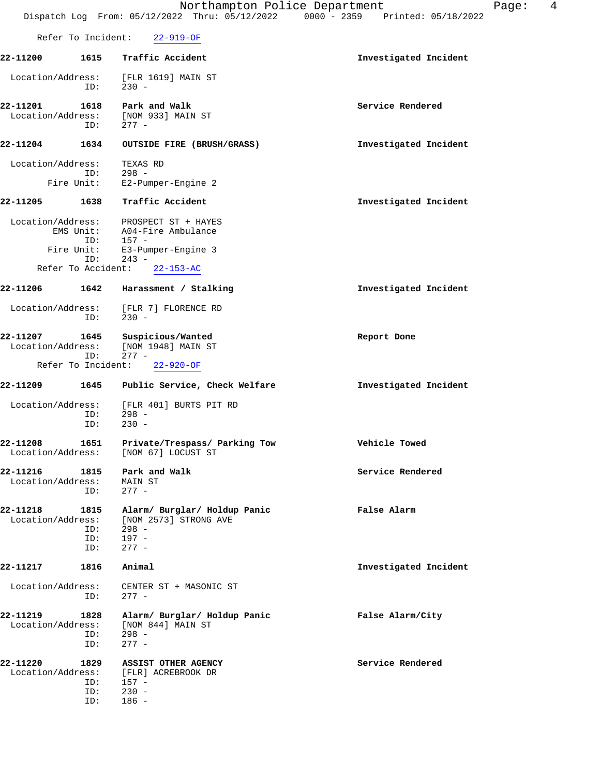|                               |                                                             | Northampton Police Department<br>Dispatch Log From: 05/12/2022 Thru: 05/12/2022                          | Page:<br>$0000 - 2359$<br>Printed: 05/18/2022 | 4 |
|-------------------------------|-------------------------------------------------------------|----------------------------------------------------------------------------------------------------------|-----------------------------------------------|---|
|                               | Refer To Incident:                                          | $22 - 919 - OF$                                                                                          |                                               |   |
| 22-11200                      | 1615                                                        | Traffic Accident                                                                                         | Investigated Incident                         |   |
| Location/Address:             | ID:                                                         | [FLR 1619] MAIN ST<br>$230 -$                                                                            |                                               |   |
| 22-11201<br>Location/Address: | 1618<br>ID:                                                 | Park and Walk<br>[NOM 933] MAIN ST<br>$277 -$                                                            | Service Rendered                              |   |
| 22-11204                      | 1634                                                        | OUTSIDE FIRE (BRUSH/GRASS)                                                                               | Investigated Incident                         |   |
| Location/Address:             | ID:<br>Fire Unit:                                           | TEXAS RD<br>$298 -$<br>E2-Pumper-Engine 2                                                                |                                               |   |
| 22-11205                      | 1638                                                        | Traffic Accident                                                                                         | Investigated Incident                         |   |
| Location/Address:             | EMS Unit:<br>ID:<br>Fire Unit:<br>ID:<br>Refer To Accident: | PROSPECT ST + HAYES<br>A04-Fire Ambulance<br>$157 -$<br>E3-Pumper-Engine 3<br>$243 -$<br>$22 - 153 - AC$ |                                               |   |
| 22-11206                      | 1642                                                        | Harassment / Stalking                                                                                    | Investigated Incident                         |   |
| Location/Address:             | ID:                                                         | [FLR 7] FLORENCE RD<br>$230 -$                                                                           |                                               |   |
| 22-11207<br>Location/Address: | 1645<br>ID:                                                 | Suspicious/Wanted<br>[NOM 1948] MAIN ST<br>$277 -$                                                       | Report Done                                   |   |
|                               | Refer To Incident:                                          | $22 - 920 - OF$                                                                                          |                                               |   |
| 22-11209<br>Location/Address: | 1645                                                        | Public Service, Check Welfare<br>[FLR 401] BURTS PIT RD                                                  | Investigated Incident                         |   |
|                               | ID:<br>ID:                                                  | $298 -$<br>$230 -$                                                                                       |                                               |   |
| 22-11208<br>Location/Address: | 1651                                                        | Private/Trespass/ Parking Tow<br>[NOM 67] LOCUST ST                                                      | Vehicle Towed                                 |   |
| 22-11216<br>Location/Address: | 1815<br>ID:                                                 | Park and Walk<br><b>MAIN ST</b><br>$277 -$                                                               | Service Rendered                              |   |
| 22-11218<br>Location/Address: | 1815<br>ID:<br>ID:<br>ID:                                   | Alarm/ Burglar/ Holdup Panic<br>[NOM 2573] STRONG AVE<br>$298 -$<br>$197 -$<br>$277 -$                   | False Alarm                                   |   |
| 22-11217                      | 1816                                                        | Animal                                                                                                   | Investigated Incident                         |   |
| Location/Address:             | ID:                                                         | CENTER ST + MASONIC ST<br>$277 -$                                                                        |                                               |   |
| 22-11219<br>Location/Address: | 1828<br>ID:<br>ID:                                          | Alarm/ Burglar/ Holdup Panic<br>[NOM 844] MAIN ST<br>$298 -$<br>$277 -$                                  | False Alarm/City                              |   |
| 22-11220<br>Location/Address: | 1829<br>ID:<br>ID:<br>ID:                                   | ASSIST OTHER AGENCY<br>[FLR] ACREBROOK DR<br>157 -<br>$230 -$<br>$186 -$                                 | Service Rendered                              |   |